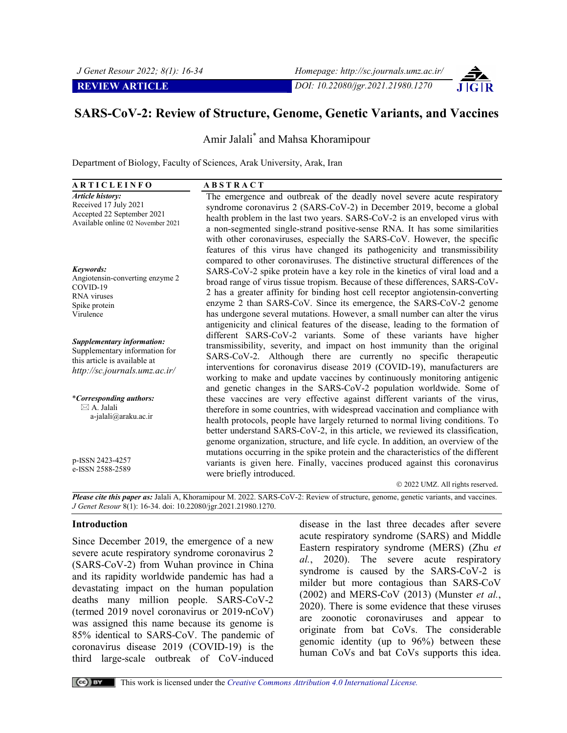

# **SARS-CoV-2: Review of Structure, Genome, Genetic Variants, and Vaccines**

Amir Jalali\* and Mahsa Khoramipour

Department of Biology, Faculty of Sciences, Arak University, Arak, Iran

| <b>ARTICLEINFO</b>                                                                                                                  | <b>ABSTRACT</b>                                                                                                                                                                                                                                                                                                                                                                                                                                                                                                                                           |
|-------------------------------------------------------------------------------------------------------------------------------------|-----------------------------------------------------------------------------------------------------------------------------------------------------------------------------------------------------------------------------------------------------------------------------------------------------------------------------------------------------------------------------------------------------------------------------------------------------------------------------------------------------------------------------------------------------------|
| <b>Article history:</b><br>Received 17 July 2021<br>Accepted 22 September 2021<br>Available online 02 November 2021                 | The emergence and outbreak of the deadly novel severe acute respiratory<br>syndrome coronavirus 2 (SARS-CoV-2) in December 2019, become a global<br>health problem in the last two years. SARS-CoV-2 is an enveloped virus with<br>a non-segmented single-strand positive-sense RNA. It has some similarities<br>with other coronaviruses, especially the SARS-CoV. However, the specific<br>features of this virus have changed its pathogenicity and transmissibility<br>compared to other coronaviruses. The distinctive structural differences of the |
| Keywords:<br>Angiotensin-converting enzyme 2<br>COVID-19<br>RNA viruses<br>Spike protein<br>Virulence                               | SARS-CoV-2 spike protein have a key role in the kinetics of viral load and a<br>broad range of virus tissue tropism. Because of these differences, SARS-CoV-<br>2 has a greater affinity for binding host cell receptor angiotensin-converting<br>enzyme 2 than SARS-CoV. Since its emergence, the SARS-CoV-2 genome<br>has undergone several mutations. However, a small number can alter the virus<br>antigenicity and clinical features of the disease, leading to the formation of                                                                    |
| <b>Supplementary information:</b><br>Supplementary information for<br>this article is available at<br>http://sc.journals.umz.ac.ir/ | different SARS-CoV-2 variants. Some of these variants have higher<br>transmissibility, severity, and impact on host immunity than the original<br>SARS-CoV-2. Although there are currently no specific therapeutic<br>interventions for coronavirus disease 2019 (COVID-19), manufacturers are<br>working to make and update vaccines by continuously monitoring antigenic<br>and genetic changes in the SARS-CoV-2 population worldwide. Some of                                                                                                         |
| <i>*Corresponding authors:</i><br>$\boxtimes$ A. Jalali<br>a-jalali@araku.ac.ir                                                     | these vaccines are very effective against different variants of the virus,<br>therefore in some countries, with widespread vaccination and compliance with<br>health protocols, people have largely returned to normal living conditions. To<br>better understand SARS-CoV-2, in this article, we reviewed its classification,<br>genome organization, structure, and life cycle. In addition, an overview of the<br>mutations occurring in the spike protein and the characteristics of the different                                                    |
| p-ISSN 2423-4257<br>e-ISSN 2588-2589                                                                                                | variants is given here. Finally, vaccines produced against this coronavirus<br>were briefly introduced.<br>© 2022 UMZ. All rights reserved.                                                                                                                                                                                                                                                                                                                                                                                                               |

*Please cite this paper as:* Jalali A, Khoramipour M. 2022. SARS-CoV-2: Review of structure, genome, genetic variants, and vaccines. *J Genet Resour* 8(1): 16-34. doi: 10.22080/jgr.2021.21980.1270.

#### **Introduction**

Since December 2019, the emergence of a new severe acute respiratory syndrome coronavirus 2 (SARS-CoV-2) from Wuhan province in China and its rapidity worldwide pandemic has had a devastating impact on the human population deaths many million people. SARS-CoV-2 (termed 2019 novel coronavirus or 2019-nCoV) was assigned this name because its genome is 85% identical to SARS-CoV. The pandemic of coronavirus disease 2019 (COVID-19) is the third large-scale outbreak of CoV-induced

disease in the last three decades after severe acute respiratory syndrome (SARS) and Middle Eastern respiratory syndrome (MERS) (Zhu *et al.*, 2020). The severe acute respiratory syndrome is caused by the SARS-CoV-2 is milder but more contagious than SARS-CoV (2002) and MERS-CoV (2013) (Munster *et al.*, 2020). There is some evidence that these viruses are zoonotic coronaviruses and appear to originate from bat CoVs. The considerable genomic identity (up to 96%) between these human CoVs and bat CoVs supports this idea.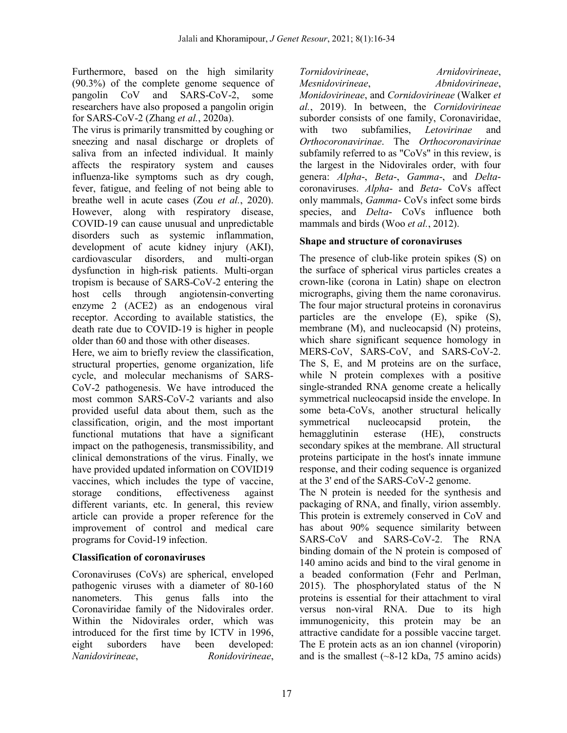Furthermore, based on the high similarity (90.3%) of the complete genome sequence of pangolin CoV and SARS-CoV-2, some researchers have also proposed a pangolin origin for SARS-CoV-2 (Zhang *et al.*, 2020a).

The virus is primarily transmitted by coughing or sneezing and nasal discharge or droplets of saliva from an infected individual. It mainly affects the respiratory system and causes influenza-like symptoms such as dry cough, fever, fatigue, and feeling of not being able to breathe well in acute cases (Zou *et al.*, 2020). However, along with respiratory disease, COVID-19 can cause unusual and unpredictable disorders such as systemic inflammation, development of acute kidney injury (AKI), cardiovascular disorders, and multi-organ dysfunction in high-risk patients. Multi-organ tropism is because of SARS-CoV-2 entering the host cells through angiotensin-converting enzyme 2 (ACE2) as an endogenous viral receptor. According to available statistics, the death rate due to COVID-19 is higher in people older than 60 and those with other diseases.

Here, we aim to briefly review the classification, structural properties, genome organization, life cycle, and molecular mechanisms of SARS-CoV-2 pathogenesis. We have introduced the most common SARS-CoV-2 variants and also provided useful data about them, such as the classification, origin, and the most important functional mutations that have a significant impact on the pathogenesis, transmissibility, and clinical demonstrations of the virus. Finally, we have provided updated information on COVID19 vaccines, which includes the type of vaccine, storage conditions, effectiveness against different variants, etc. In general, this review article can provide a proper reference for the improvement of control and medical care programs for Covid-19 infection.

## **Classification of coronaviruses**

Coronaviruses (CoVs) are spherical, enveloped pathogenic viruses with a diameter of 80-160 nanometers. This genus falls into the Coronaviridae family of the Nidovirales order. Within the Nidovirales order, which was introduced for the first time by ICTV in 1996, eight suborders have been developed: *Nanidovirineae*, *Ronidovirineae*,

*Tornidovirineae*, *Arnidovirineae*, *Mesnidovirineae*, *Abnidovirineae*, *Monidovirineae*, and *Cornidovirineae* (Walker *et al.*, 2019). In between, the *Cornidovirineae* suborder consists of one family, Coronaviridae, with two subfamilies, *Letovirinae* and *Orthocoronavirinae*. The *Orthocoronavirinae* subfamily referred to as "CoVs" in this review, is the largest in the Nidovirales order, with four genera: *Alpha*-, *Beta*-, *Gamma*-, and *Delta*coronaviruses. *Alpha*- and *Beta*- CoVs affect only mammals, *Gamma*- CoVs infect some birds species, and *Delta*- CoVs influence both mammals and birds (Woo *et al.*, 2012).

## **Shape and structure of coronaviruses**

The presence of club*-*like protein spikes (S) on the surface of spherical virus particles creates a crown-like (corona in Latin) shape on electron micrographs, giving them the name coronavirus. The four major structural proteins in coronavirus particles are the envelope (E), spike (S), membrane (M), and nucleocapsid (N) proteins, which share significant sequence homology in MERS-CoV, SARS-CoV, and SARS-CoV-2. The S, E, and M proteins are on the surface, while N protein complexes with a positive single-stranded RNA genome create a helically symmetrical nucleocapsid inside the envelope. In some beta-CoVs, another structural helically symmetrical nucleocapsid protein, the hemagglutinin esterase (HE), constructs secondary spikes at the membrane. All structural proteins participate in the host's innate immune response, and their coding sequence is organized at the 3' end of the SARS-CoV-2 genome.

The N protein is needed for the synthesis and packaging of RNA, and finally, virion assembly. This protein is extremely conserved in CoV and has about 90% sequence similarity between SARS-CoV and SARS-CoV-2. The RNA binding domain of the N protein is composed of 140 amino acids and bind to the viral genome in a beaded conformation (Fehr and Perlman, 2015). The phosphorylated status of the N proteins is essential for their attachment to viral versus non-viral RNA. Due to its high immunogenicity, this protein may be an attractive candidate for a possible vaccine target. The E protein acts as an ion channel (viroporin) and is the smallest  $(-8-12 \text{ kDa}, 75 \text{ amino acids})$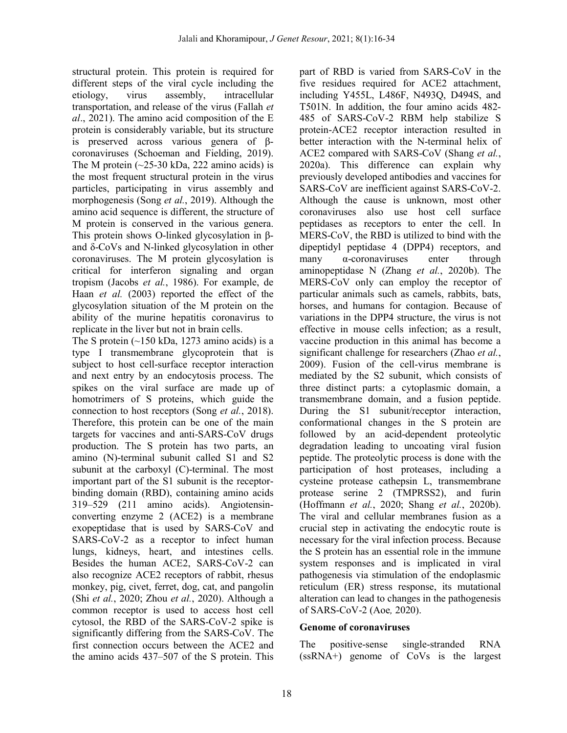structural protein. This protein is required for different steps of the viral cycle including the etiology, virus assembly, intracellular transportation, and release of the virus (Fallah *et al*., 2021). The amino acid composition of the E protein is considerably variable, but its structure is preserved across various genera of βcoronaviruses (Schoeman and Fielding, 2019). The M protein  $(-25-30 \text{ kDa}, 222 \text{ amino acids})$  is the most frequent structural protein in the virus particles, participating in virus assembly and morphogenesis (Song *et al.*, 2019). Although the amino acid sequence is different, the structure of M protein is conserved in the various genera. This protein shows O-linked glycosylation in βand δ-CoVs and N-linked glycosylation in other coronaviruses. The M protein glycosylation is critical for interferon signaling and organ tropism (Jacobs *et al.*, 1986). For example, de Haan *et al.* (2003) reported the effect of the glycosylation situation of the M protein on the ability of the murine hepatitis coronavirus to replicate in the liver but not in brain cells.

The S protein  $(-150 \text{ kDa}, 1273 \text{ amino acids})$  is a type I transmembrane glycoprotein that is subject to host cell-surface receptor interaction and next entry by an endocytosis process. The spikes on the viral surface are made up of homotrimers of S proteins, which guide the connection to host receptors (Song *et al.*, 2018). Therefore, this protein can be one of the main targets for vaccines and anti-SARS-CoV drugs production. The S protein has two parts, an amino (N)-terminal subunit called S1 and S2 subunit at the carboxyl (C)-terminal. The most important part of the S1 subunit is the receptorbinding domain (RBD), containing amino acids 319–529 (211 amino acids). Angiotensinconverting enzyme 2 (ACE2) is a membrane exopeptidase that is used by SARS-CoV and SARS-CoV-2 as a receptor to infect human lungs, kidneys, heart, and intestines cells. Besides the human ACE2, SARS-CoV-2 can also recognize ACE2 receptors of rabbit, rhesus monkey, pig, civet, ferret, dog, cat, and pangolin (Shi *et al.*, 2020; Zhou *et al.*, 2020). Although a common receptor is used to access host cell cytosol, the RBD of the SARS-CoV-2 spike is significantly differing from the SARS-CoV. The first connection occurs between the ACE2 and the amino acids 437–507 of the S protein. This

part of RBD is varied from SARS-CoV in the five residues required for ACE2 attachment, including Y455L, L486F, N493Q, D494S, and T501N. In addition, the four amino acids 482- 485 of SARS-CoV-2 RBM help stabilize S protein-ACE2 receptor interaction resulted in better interaction with the N-terminal helix of ACE2 compared with SARS-CoV (Shang *et al.*, 2020a). This difference can explain why previously developed antibodies and vaccines for SARS-CoV are inefficient against SARS-CoV-2. Although the cause is unknown, most other coronaviruses also use host cell surface peptidases as receptors to enter the cell. In MERS-CoV, the RBD is utilized to bind with the dipeptidyl peptidase 4 (DPP4) receptors, and many  $\alpha$ -coronaviruses enter through aminopeptidase N (Zhang *et al.*, 2020b). The MERS-CoV only can employ the receptor of particular animals such as camels, rabbits, bats, horses, and humans for contagion. Because of variations in the DPP4 structure, the virus is not effective in mouse cells infection; as a result, vaccine production in this animal has become a significant challenge for researchers (Zhao *et al.*, 2009). Fusion of the cell-virus membrane is mediated by the S2 subunit, which consists of three distinct parts: a cytoplasmic domain, a transmembrane domain, and a fusion peptide. During the S1 subunit/receptor interaction, conformational changes in the S protein are followed by an acid-dependent proteolytic degradation leading to uncoating viral fusion peptide. The proteolytic process is done with the participation of host proteases, including a cysteine protease cathepsin L, transmembrane protease serine 2 (TMPRSS2), and furin (Hoffmann *et al.*, 2020; Shang *et al.*, 2020b). The viral and cellular membranes fusion as a crucial step in activating the endocytic route is necessary for the viral infection process. Because the S protein has an essential role in the immune system responses and is implicated in viral pathogenesis via stimulation of the endoplasmic reticulum (ER) stress response, its mutational alteration can lead to changes in the pathogenesis of SARS-CoV-2 (Aoe*,* 2020).

### **Genome of coronaviruses**

The positive-sense single-stranded RNA (ssRNA+) genome of CoVs is the largest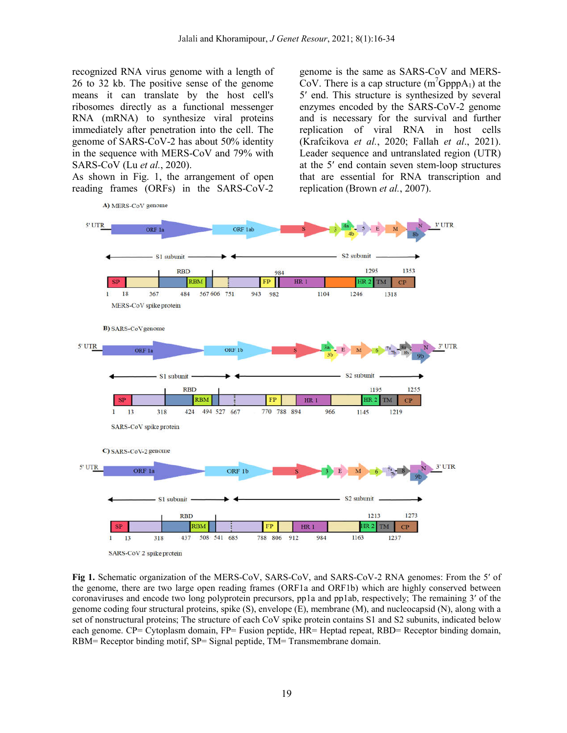recognized RNA virus genome with a length of 26 to 32 kb. The positive sense of the genome means it can translate by the host cell's ribosomes directly as a functional messenger RNA (mRNA) to synthesize viral proteins immediately after penetration into the cell. The genome of SARS-CoV-2 has about 50% identity in the sequence with MERS-CoV and 79% with SARS-CoV (Lu *et al.*, 2020).

As shown in Fig. 1, the arrangement of open reading frames (ORFs) in the SARS-CoV-2

genome is the same as SARS-CoV and MERS-CoV. There is a cap structure  $(m^7GpppA_1)$  at the 5′ end. This structure is synthesized by several enzymes encoded by the SARS-CoV-2 genome and is necessary for the survival and further replication of viral RNA in host cells (Krafcikova *et al.*, 2020; Fallah *et al*., 2021). Leader sequence and untranslated region (UTR) at the 5′ end contain seven stem-loop structures that are essential for RNA transcription and replication (Brown *et al.*, 2007).



**Fig 1.** Schematic organization of the MERS-CoV, SARS-CoV, and SARS-CoV-2 RNA genomes: From the 5′ of the genome, there are two large open reading frames (ORF1a and ORF1b) which are highly conserved between coronaviruses and encode two long polyprotein precursors, pp1a and pp1ab, respectively; The remaining 3′ of the genome coding four structural proteins, spike (S), envelope (E), membrane (M), and nucleocapsid (N), along with a set of nonstructural proteins; The structure of each CoV spike protein contains S1 and S2 subunits, indicated below each genome. CP= Cytoplasm domain, FP= Fusion peptide, HR= Heptad repeat, RBD= Receptor binding domain, RBM= Receptor binding motif, SP= Signal peptide, TM= Transmembrane domain.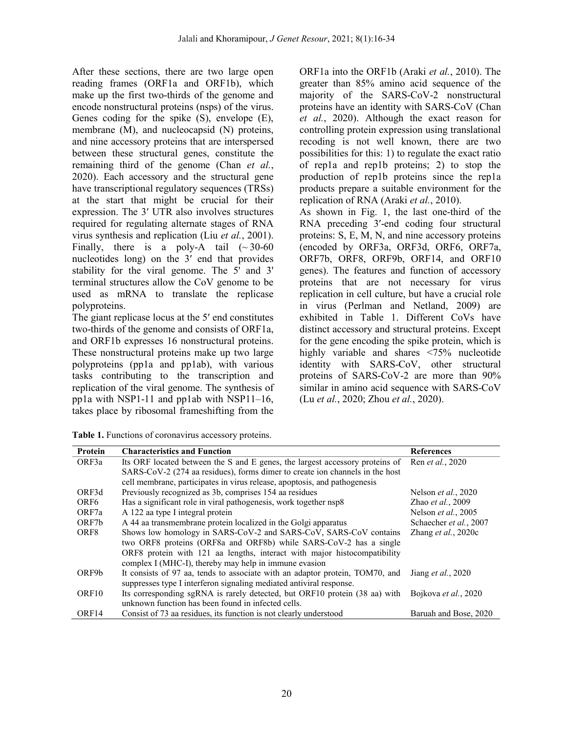After these sections, there are two large open reading frames (ORF1a and ORF1b), which make up the first two-thirds of the genome and encode nonstructural proteins (nsps) of the virus. Genes coding for the spike (S), envelope (E), membrane (M), and nucleocapsid (N) proteins, and nine accessory proteins that are interspersed between these structural genes, constitute the remaining third of the genome (Chan *et al.*, 2020). Each accessory and the structural gene have transcriptional regulatory sequences (TRSs) at the start that might be crucial for their expression. The 3′ UTR also involves structures required for regulating alternate stages of RNA virus synthesis and replication (Liu *et al.*, 2001). Finally, there is a poly-A tail  $(\sim 30-60$ nucleotides long) on the 3′ end that provides stability for the viral genome. The 5' and 3' terminal structures allow the CoV genome to be used as mRNA to translate the replicase polyproteins.

The giant replicase locus at the 5′ end constitutes two-thirds of the genome and consists of ORF1a, and ORF1b expresses 16 nonstructural proteins. These nonstructural proteins make up two large polyproteins (pp1a and pp1ab), with various tasks contributing to the transcription and replication of the viral genome. The synthesis of pp1a with NSP1-11 and pp1ab with NSP11–16, takes place by ribosomal frameshifting from the

ORF1a into the ORF1b (Araki *et al.*, 2010). The greater than 85% amino acid sequence of the majority of the SARS-CoV-2 nonstructural proteins have an identity with SARS-CoV (Chan *et al.*, 2020). Although the exact reason for controlling protein expression using translational recoding is not well known, there are two possibilities for this: 1) to regulate the exact ratio of rep1a and rep1b proteins; 2) to stop the production of rep1b proteins since the rep1a products prepare a suitable environment for the replication of RNA (Araki *et al.*, 2010).

As shown in Fig. 1, the last one-third of the RNA preceding 3′-end coding four structural proteins: S, E, M, N, and nine accessory proteins (encoded by ORF3a, ORF3d, ORF6, ORF7a, ORF7b, ORF8, ORF9b, ORF14, and ORF10 genes). The features and function of accessory proteins that are not necessary for virus replication in cell culture, but have a crucial role in virus (Perlman and Netland, 2009) are exhibited in Table 1. Different CoVs have distinct accessory and structural proteins. Except for the gene encoding the spike protein, which is highly variable and shares <75% nucleotide identity with SARS-CoV, other structural proteins of SARS-CoV-2 are more than 90% similar in amino acid sequence with SARS-CoV (Lu *et al.*, 2020; Zhou *et al.*, 2020).

**Table 1.** Functions of coronavirus accessory proteins.

| Protein           | <b>Characteristics and Function</b>                                          | <b>References</b>             |
|-------------------|------------------------------------------------------------------------------|-------------------------------|
| ORF3a             | Its ORF located between the S and E genes, the largest accessory proteins of | Ren et al., 2020              |
|                   | SARS-CoV-2 (274 aa residues), forms dimer to create ion channels in the host |                               |
|                   | cell membrane, participates in virus release, apoptosis, and pathogenesis    |                               |
| ORF3d             | Previously recognized as 3b, comprises 154 aa residues                       | Nelson et al., 2020           |
| ORF <sub>6</sub>  | Has a significant role in viral pathogenesis, work together nsp8             | Zhao et al., 2009             |
| ORF7a             | A 122 aa type I integral protein                                             | Nelson et al., 2005           |
| ORF7b             | A 44 aa transmembrane protein localized in the Golgi apparatus               | Schaecher et al., 2007        |
| ORF8              | Shows low homology in SARS-CoV-2 and SARS-CoV, SARS-CoV contains             | Zhang <i>et al.</i> , $2020c$ |
|                   | two ORF8 proteins (ORF8a and ORF8b) while SARS-CoV-2 has a single            |                               |
|                   | ORF8 protein with 121 aa lengths, interact with major histocompatibility     |                               |
|                   | complex I (MHC-I), thereby may help in immune evasion                        |                               |
| ORF9b             | It consists of 97 aa, tends to associate with an adaptor protein, TOM70, and | Jiang <i>et al.</i> , 2020    |
|                   | suppresses type I interferon signaling mediated antiviral response.          |                               |
| ORF <sub>10</sub> | Its corresponding sgRNA is rarely detected, but ORF10 protein (38 aa) with   | Bojkova et al., 2020          |
|                   | unknown function has been found in infected cells.                           |                               |
| ORF14             | Consist of 73 aa residues, its function is not clearly understood            | Baruah and Bose, 2020         |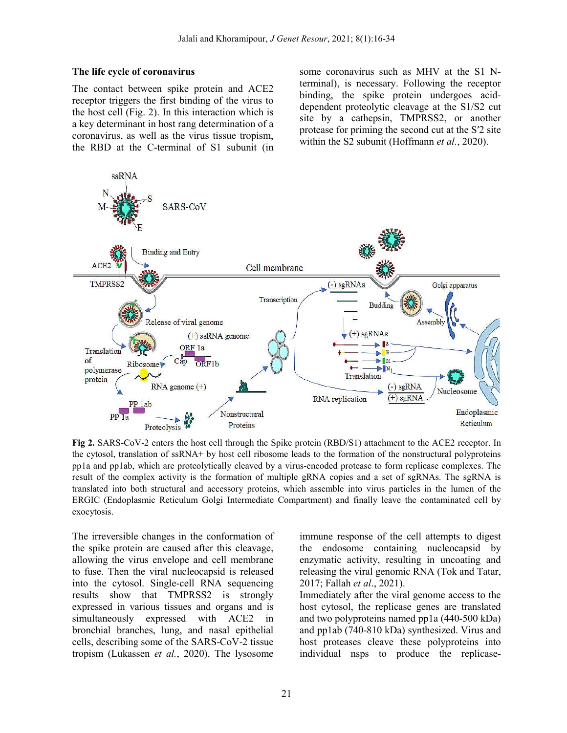#### **The life cycle of coronavirus**

The contact between spike protein and ACE2 receptor triggers the first binding of the virus to the host cell (Fig. 2). In this interaction which is a key determinant in host rang determination of a coronavirus, as well as the virus tissue tropism, the RBD at the C-terminal of S1 subunit (in

some coronavirus such as MHV at the S1 Nterminal), is necessary. Following the receptor binding, the spike protein undergoes aciddependent proteolytic cleavage at the S1/S2 cut site by a cathepsin, TMPRSS2, or another protease for priming the second cut at the Sʹ2 site within the S2 subunit (Hoffmann *et al.*, 2020).



**Fig 2.** SARS-CoV-2 enters the host cell through the Spike protein (RBD/S1) attachment to the ACE2 receptor. In the cytosol, translation of ssRNA+ by host cell ribosome leads to the formation of the nonstructural polyproteins pp1a and pp1ab, which are proteolytically cleaved by a virus-encoded protease to form replicase complexes. The result of the complex activity is the formation of multiple gRNA copies and a set of sgRNAs. The sgRNA is translated into both structural and accessory proteins, which assemble into virus particles in the lumen of the ERGIC (Endoplasmic Reticulum Golgi Intermediate Compartment) and finally leave the contaminated cell by exocytosis.

The irreversible changes in the conformation of the spike protein are caused after this cleavage, allowing the virus envelope and cell membrane to fuse. Then the viral nucleocapsid is released into the cytosol. Single-cell RNA sequencing results show that TMPRSS2 is strongly expressed in various tissues and organs and is simultaneously expressed with ACE2 in bronchial branches, lung, and nasal epithelial cells, describing some of the SARS-CoV-2 tissue tropism (Lukassen *et al.*, 2020). The lysosome

immune response of the cell attempts to digest the endosome containing nucleocapsid by enzymatic activity, resulting in uncoating and releasing the viral genomic RNA (Tok and Tatar, 2017; Fallah *et al*., 2021).

Immediately after the viral genome access to the host cytosol, the replicase genes are translated and two polyproteins named pp1a (440-500 kDa) and pp1ab (740-810 kDa) synthesized. Virus and host proteases cleave these polyproteins into individual nsps to produce the replicase-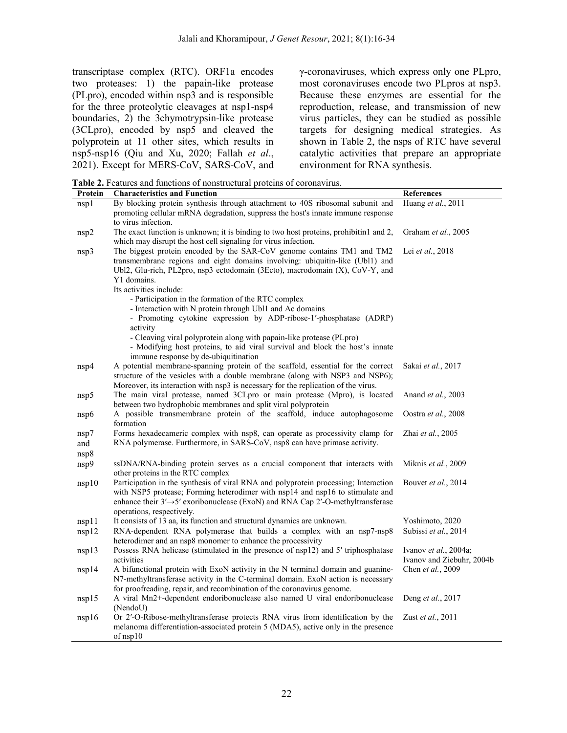transcriptase complex (RTC). ORF1a encodes two proteases: 1) the papain-like protease (PLpro), encoded within nsp3 and is responsible for the three proteolytic cleavages at nsp1-nsp4 boundaries, 2) the 3chymotrypsin-like protease (3CLpro), encoded by nsp5 and cleaved the polyprotein at 11 other sites, which results in nsp5-nsp16 (Qiu and Xu, 2020; Fallah *et al*., 2021). Except for MERS-CoV, SARS-CoV, and

γ-coronaviruses, which express only one PLpro, most coronaviruses encode two PLpros at nsp3. Because these enzymes are essential for the reproduction, release, and transmission of new virus particles, they can be studied as possible targets for designing medical strategies. As shown in Table 2, the nsps of RTC have several catalytic activities that prepare an appropriate environment for RNA synthesis.

**Table 2.** Features and functions of nonstructural proteins of coronavirus.

| Protein             | <b>raphy 2.</b> I called and functions of nonstructural proteins of coronavirus.<br><b>Characteristics and Function</b>                                                                                                                                                                          | References                                                 |
|---------------------|--------------------------------------------------------------------------------------------------------------------------------------------------------------------------------------------------------------------------------------------------------------------------------------------------|------------------------------------------------------------|
|                     | By blocking protein synthesis through attachment to 40S ribosomal subunit and                                                                                                                                                                                                                    | Huang et al., 2011                                         |
| nsp1                | promoting cellular mRNA degradation, suppress the host's innate immune response<br>to virus infection.                                                                                                                                                                                           |                                                            |
| nsp2                | The exact function is unknown; it is binding to two host proteins, prohibitin1 and 2,<br>which may disrupt the host cell signaling for virus infection.                                                                                                                                          | Graham et al., 2005                                        |
| nsp3                | The biggest protein encoded by the SAR-CoV genome contains TM1 and TM2<br>transmembrane regions and eight domains involving: ubiquitin-like (Ubl1) and<br>Ubl2, Glu-rich, PL2pro, nsp3 ectodomain (3Ecto), macrodomain (X), CoV-Y, and<br>Y1 domains.<br>Its activities include:                 | Lei et al., 2018                                           |
|                     | - Participation in the formation of the RTC complex<br>- Interaction with N protein through Ubl1 and Ac domains<br>- Promoting cytokine expression by ADP-ribose-1'-phosphatase (ADRP)<br>activity                                                                                               |                                                            |
|                     | - Cleaving viral polyprotein along with papain-like protease (PLpro)<br>- Modifying host proteins, to aid viral survival and block the host's innate<br>immune response by de-ubiquitination                                                                                                     |                                                            |
| nsp4                | A potential membrane-spanning protein of the scaffold, essential for the correct<br>structure of the vesicles with a double membrane (along with NSP3 and NSP6);<br>Moreover, its interaction with nsp3 is necessary for the replication of the virus.                                           | Sakai et al., 2017                                         |
| nsp5                | The main viral protease, named 3CLpro or main protease (Mpro), is located<br>between two hydrophobic membranes and split viral polyprotein                                                                                                                                                       | Anand et al., 2003                                         |
| nsp6                | A possible transmembrane protein of the scaffold, induce autophagosome<br>formation                                                                                                                                                                                                              | Oostra et al., 2008                                        |
| nsp7<br>and<br>nsp8 | Forms hexadecameric complex with nsp8, can operate as processivity clamp for<br>RNA polymerase. Furthermore, in SARS-CoV, nsp8 can have primase activity.                                                                                                                                        | Zhai et al., 2005                                          |
| nsp9                | ssDNA/RNA-binding protein serves as a crucial component that interacts with<br>other proteins in the RTC complex                                                                                                                                                                                 | Miknis et al., 2009                                        |
| nsp10               | Participation in the synthesis of viral RNA and polyprotein processing; Interaction<br>with NSP5 protease; Forming heterodimer with nsp14 and nsp16 to stimulate and<br>enhance their $3' \rightarrow 5'$ exoribonuclease (ExoN) and RNA Cap 2'-O-methyltransferase<br>operations, respectively. | Bouvet et al., 2014                                        |
| nsp11               | It consists of 13 aa, its function and structural dynamics are unknown.                                                                                                                                                                                                                          | Yoshimoto, 2020                                            |
| nsp12               | RNA-dependent RNA polymerase that builds a complex with an nsp7-nsp8<br>heterodimer and an nsp8 monomer to enhance the processivity                                                                                                                                                              | Subissi et al., 2014                                       |
| nsp13               | Possess RNA helicase (stimulated in the presence of nsp12) and 5' triphosphatase<br>activities                                                                                                                                                                                                   | Ivanov <i>et al.</i> , 2004a;<br>Ivanov and Ziebuhr, 2004b |
| nsp14               | A bifunctional protein with ExoN activity in the N terminal domain and guanine-<br>N7-methyltransferase activity in the C-terminal domain. ExoN action is necessary<br>for proofreading, repair, and recombination of the coronavirus genome.                                                    | Chen et al., 2009                                          |
| nsp15               | A viral Mn2+-dependent endoribonuclease also named U viral endoribonuclease<br>(NendoU)                                                                                                                                                                                                          | Deng et al., 2017                                          |
| nsp16               | Or 2'-O-Ribose-methyltransferase protects RNA virus from identification by the<br>melanoma differentiation-associated protein 5 (MDA5), active only in the presence<br>of nsp10                                                                                                                  | Zust et al., 2011                                          |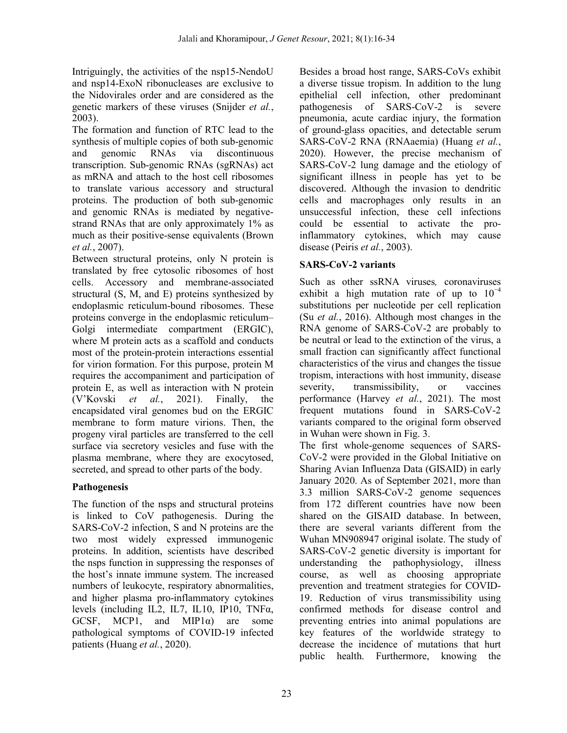Intriguingly, the activities of the nsp15-NendoU and nsp14-ExoN ribonucleases are exclusive to the Nidovirales order and are considered as the genetic markers of these viruses (Snijder *et al.*, 2003).

The formation and function of RTC lead to the synthesis of multiple copies of both sub-genomic and genomic RNAs via discontinuous transcription. Sub-genomic RNAs (sgRNAs) act as mRNA and attach to the host cell ribosomes to translate various accessory and structural proteins. The production of both sub-genomic and genomic RNAs is mediated by negativestrand RNAs that are only approximately 1% as much as their positive-sense equivalents (Brown *et al.*, 2007).

Between structural proteins, only N protein is translated by free cytosolic ribosomes of host cells. Accessory and membrane-associated structural (S, M, and E) proteins synthesized by endoplasmic reticulum-bound ribosomes. These proteins converge in the endoplasmic reticulum– Golgi intermediate compartment (ERGIC), where M protein acts as a scaffold and conducts most of the protein-protein interactions essential for virion formation. For this purpose, protein M requires the accompaniment and participation of protein E, as well as interaction with N protein (V'Kovski *et al.*, 2021). Finally, the encapsidated viral genomes bud on the ERGIC membrane to form mature virions. Then, the progeny viral particles are transferred to the cell surface via secretory vesicles and fuse with the plasma membrane, where they are exocytosed, secreted, and spread to other parts of the body.

## **Pathogenesis**

The function of the nsps and structural proteins is linked to CoV pathogenesis. During the SARS-CoV-2 infection, S and N proteins are the two most widely expressed immunogenic proteins. In addition, scientists have described the nsps function in suppressing the responses of the host's innate immune system. The increased numbers of leukocyte, respiratory abnormalities, and higher plasma pro-inflammatory cytokines levels (including IL2, IL7, IL10, IP10, TNFα, GCSF, MCP1, and MIP1 $\alpha$ ) are some pathological symptoms of COVID-19 infected patients (Huang *et al.*, 2020).

Besides a broad host range, SARS-CoVs exhibit a diverse tissue tropism. In addition to the lung epithelial cell infection, other predominant pathogenesis of SARS-CoV-2 is severe pneumonia, acute cardiac injury, the formation of ground-glass opacities, and detectable serum SARS-CoV-2 RNA (RNAaemia) (Huang *et al.*, 2020). However, the precise mechanism of SARS-CoV-2 lung damage and the etiology of significant illness in people has yet to be discovered. Although the invasion to dendritic cells and macrophages only results in an unsuccessful infection, these cell infections could be essential to activate the proinflammatory cytokines, which may cause disease (Peiris *et al.*, 2003).

## **SARS-CoV-2 variants**

Such as other ssRNA viruses*,* coronaviruses exhibit a high mutation rate of up to  $10^{-4}$ substitutions per nucleotide per cell replication (Su *et al.*, 2016). Although most changes in the RNA genome of SARS-CoV-2 are probably to be neutral or lead to the extinction of the virus, a small fraction can significantly affect functional characteristics of the virus and changes the tissue tropism, interactions with host immunity, disease severity, transmissibility, or vaccines performance (Harvey *et al.*, 2021). The most frequent mutations found in SARS-CoV-2 variants compared to the original form observed in Wuhan were shown in Fig. 3.

The first whole-genome sequences of SARS-CoV-2 were provided in the Global Initiative on Sharing Avian Influenza Data (GISAID) in early January 2020. As of September 2021, more than 3.3 million SARS-CoV-2 genome sequences from 172 different countries have now been shared on the GISAID database. In between, there are several variants different from the Wuhan MN908947 original isolate. The study of SARS-CoV-2 genetic diversity is important for understanding the pathophysiology, illness course, as well as choosing appropriate prevention and treatment strategies for COVID-19. Reduction of virus transmissibility using confirmed methods for disease control and preventing entries into animal populations are key features of the worldwide strategy to decrease the incidence of mutations that hurt public health. Furthermore, knowing the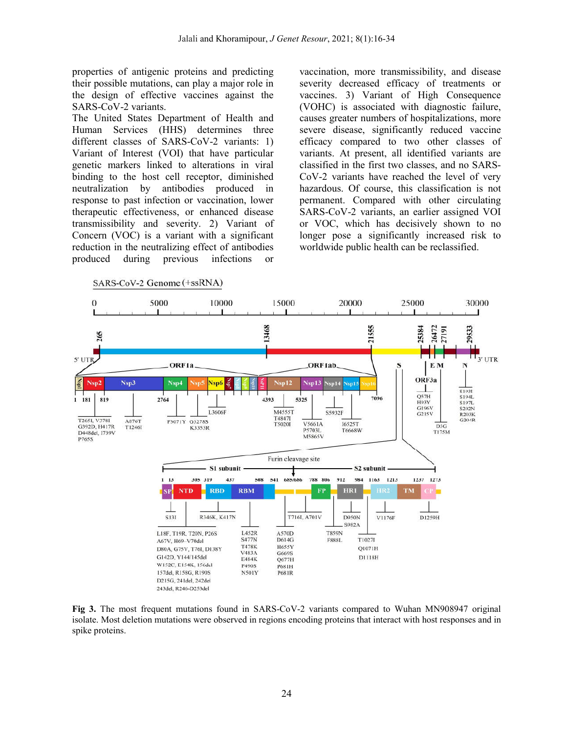properties of antigenic proteins and predicting their possible mutations, can play a major role in the design of effective vaccines against the SARS-CoV-2 variants.

The United States Department of Health and Human Services (HHS) determines three different classes of SARS-CoV-2 variants: 1) Variant of Interest (VOI) that have particular genetic markers linked to alterations in viral binding to the host cell receptor, diminished neutralization by antibodies produced in response to past infection or vaccination, lower therapeutic effectiveness, or enhanced disease transmissibility and severity. 2) Variant of Concern (VOC) is a variant with a significant reduction in the neutralizing effect of antibodies produced during previous infections or

vaccination, more transmissibility, and disease severity decreased efficacy of treatments or vaccines. 3) Variant of High Consequence (VOHC) is associated with diagnostic failure, causes greater numbers of hospitalizations, more severe disease, significantly reduced vaccine efficacy compared to two other classes of variants. At present, all identified variants are classified in the first two classes, and no SARS-CoV-2 variants have reached the level of very hazardous. Of course, this classification is not permanent. Compared with other circulating SARS-CoV-2 variants, an earlier assigned VOI or VOC, which has decisively shown to no longer pose a significantly increased risk to worldwide public health can be reclassified.



**Fig 3.** The most frequent mutations found in SARS-CoV-2 variants compared to Wuhan MN908947 original isolate. Most deletion mutations were observed in regions encoding proteins that interact with host responses and in spike proteins.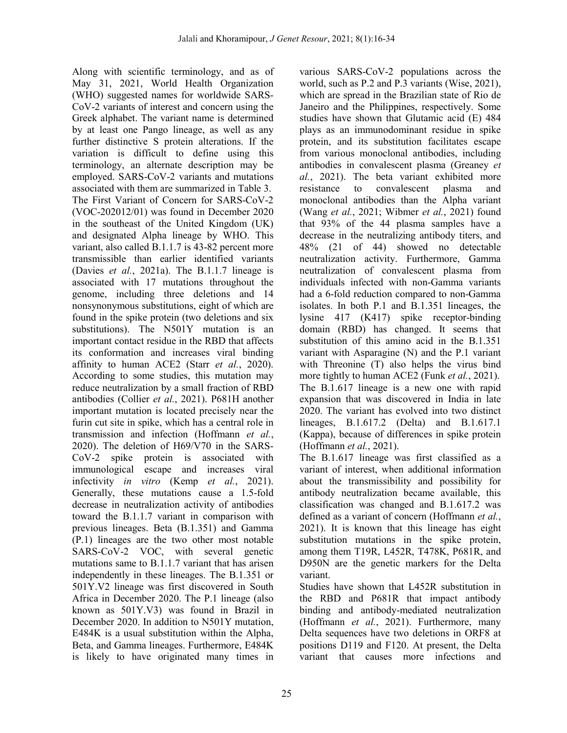Along with scientific terminology, and as of May 31, 2021, World Health Organization (WHO) suggested names for worldwide SARS-CoV-2 variants of interest and concern using the Greek alphabet. The variant name is determined by at least one Pango lineage, as well as any further distinctive S protein alterations. If the variation is difficult to define using this terminology, an alternate description may be employed. SARS-CoV-2 variants and mutations associated with them are summarized in Table 3. The First Variant of Concern for SARS-CoV-2 (VOC-202012/01) was found in December 2020 in the southeast of the United Kingdom (UK) and designated Alpha lineage by WHO. This variant, also called B.1.1.7 is 43-82 percent more transmissible than earlier identified variants (Davies *et al.*, 2021a). The B.1.1.7 lineage is associated with 17 mutations throughout the genome, including three deletions and 14 nonsynonymous substitutions, eight of which are found in the spike protein (two deletions and six substitutions). The N501Y mutation is an important contact residue in the RBD that affects its conformation and increases viral binding affinity to human ACE2 (Starr *et al.*, 2020). According to some studies, this mutation may reduce neutralization by a small fraction of RBD antibodies (Collier *et al.*, 2021). P681H another important mutation is located precisely near the furin cut site in spike, which has a central role in transmission and infection (Hoffmann *et al.*, 2020). The deletion of H69/V70 in the SARS-CoV-2 spike protein is associated with immunological escape and increases viral infectivity *in vitro* (Kemp *et al.*, 2021). Generally, these mutations cause a 1.5-fold decrease in neutralization activity of antibodies toward the B.1.1.7 variant in comparison with previous lineages. Beta (B.1.351) and Gamma (P.1) lineages are the two other most notable SARS-CoV-2 VOC, with several genetic mutations same to B.1.1.7 variant that has arisen independently in these lineages. The B.1.351 or 501Y.V2 lineage was first discovered in South Africa in December 2020. The P.1 lineage (also known as 501Y.V3) was found in Brazil in December 2020. In addition to N501Y mutation, E484K is a usual substitution within the Alpha, Beta, and Gamma lineages. Furthermore, E484K is likely to have originated many times in

various SARS-CoV-2 populations across the world, such as P.2 and P.3 variants (Wise, 2021), which are spread in the Brazilian state of Rio de Janeiro and the Philippines, respectively. Some studies have shown that Glutamic acid (E) 484 plays as an immunodominant residue in spike protein, and its substitution facilitates escape from various monoclonal antibodies, including antibodies in convalescent plasma (Greaney *et al.*, 2021). The beta variant exhibited more resistance to convalescent plasma and monoclonal antibodies than the Alpha variant (Wang *et al.*, 2021; Wibmer *et al.*, 2021) found that 93% of the 44 plasma samples have a decrease in the neutralizing antibody titers, and 48% (21 of 44) showed no detectable neutralization activity. Furthermore, Gamma neutralization of convalescent plasma from individuals infected with non-Gamma variants had a 6-fold reduction compared to non-Gamma isolates. In both P.1 and B.1.351 lineages, the lysine 417 (K417) spike receptor-binding domain (RBD) has changed. It seems that substitution of this amino acid in the B.1.351 variant with Asparagine (N) and the P.1 variant with Threonine (T) also helps the virus bind more tightly to human ACE2 (Funk *et al.*, 2021). The B.1.617 lineage is a new one with rapid expansion that was discovered in India in late 2020. The variant has evolved into two distinct lineages, B.1.617.2 (Delta) and B.1.617.1 (Kappa), because of differences in spike protein (Hoffmann *et al.*, 2021).

The B.1.617 lineage was first classified as a variant of interest, when additional information about the transmissibility and possibility for antibody neutralization became available, this classification was changed and B.1.617.2 was defined as a variant of concern (Hoffmann *et al.*, 2021). It is known that this lineage has eight substitution mutations in the spike protein, among them T19R, L452R, T478K, P681R, and D950N are the genetic markers for the Delta variant.

Studies have shown that L452R substitution in the RBD and P681R that impact antibody binding and antibody-mediated neutralization (Hoffmann *et al.*, 2021). Furthermore, many Delta sequences have two deletions in ORF8 at positions D119 and F120. At present, the Delta variant that causes more infections and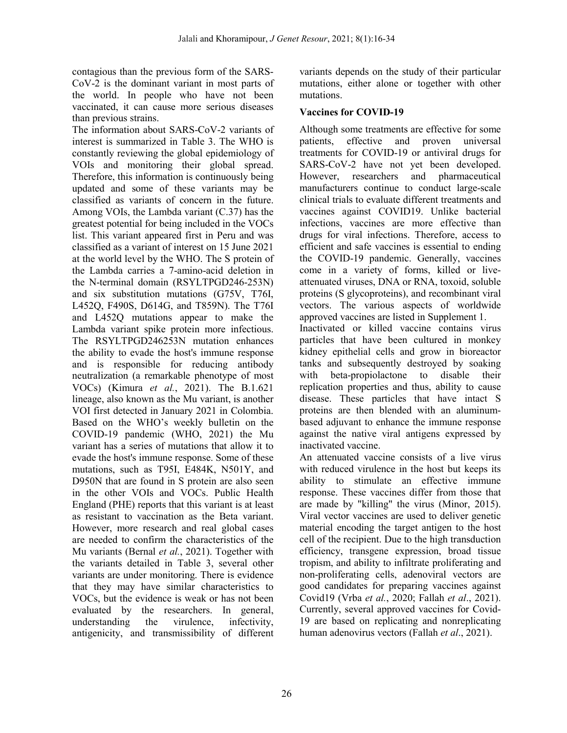contagious than the previous form of the SARS-CoV-2 is the dominant variant in most parts of the world. In people who have not been vaccinated, it can cause more serious diseases than previous strains.

The information about SARS-CoV-2 variants of interest is summarized in Table 3. The WHO is constantly reviewing the global epidemiology of VOIs and monitoring their global spread. Therefore, this information is continuously being updated and some of these variants may be classified as variants of concern in the future. Among VOIs, the Lambda variant (C.37) has the greatest potential for being included in the VOCs list. This variant appeared first in Peru and was classified as a variant of interest on 15 June 2021 at the world level by the WHO. The S protein of the Lambda carries a 7-amino-acid deletion in the N-terminal domain (RSYLTPGD246-253N) and six substitution mutations (G75V, T76I, L452Q, F490S, D614G, and T859N). The T76I and L452Q mutations appear to make the Lambda variant spike protein more infectious. The RSYLTPGD246253N mutation enhances the ability to evade the host's immune response and is responsible for reducing antibody neutralization (a remarkable phenotype of most VOCs) (Kimura *et al.*, 2021). The B.1.621 lineage, also known as the Mu variant, is another VOI first detected in January 2021 in Colombia. Based on the WHO's weekly bulletin on the COVID-19 pandemic (WHO, 2021) the Mu variant has a series of mutations that allow it to evade the host's immune response. Some of these mutations, such as T95I, E484K, N501Y, and D950N that are found in S protein are also seen in the other VOIs and VOCs. Public Health England (PHE) reports that this variant is at least as resistant to vaccination as the Beta variant. However, more research and real global cases are needed to confirm the characteristics of the Mu variants (Bernal *et al.*, 2021). Together with the variants detailed in Table 3, several other variants are under monitoring. There is evidence that they may have similar characteristics to VOCs, but the evidence is weak or has not been evaluated by the researchers. In general, understanding the virulence, infectivity, antigenicity, and transmissibility of different

variants depends on the study of their particular mutations, either alone or together with other mutations.

#### **Vaccines for COVID-19**

Although some treatments are effective for some patients, effective and proven universal treatments for COVID-19 or antiviral drugs for SARS-CoV-2 have not yet been developed. However, researchers and pharmaceutical manufacturers continue to conduct large-scale clinical trials to evaluate different treatments and vaccines against COVID19. Unlike bacterial infections, vaccines are more effective than drugs for viral infections. Therefore, access to efficient and safe vaccines is essential to ending the COVID-19 pandemic. Generally, vaccines come in a variety of forms, killed or liveattenuated viruses, DNA or RNA, toxoid, soluble proteins (S glycoproteins), and recombinant viral vectors. The various aspects of worldwide approved vaccines are listed in Supplement 1.

Inactivated or killed vaccine contains virus particles that have been cultured in monkey kidney epithelial cells and grow in bioreactor tanks and subsequently destroyed by soaking with beta-propiolactone to disable their replication properties and thus, ability to cause disease. These particles that have intact S proteins are then blended with an aluminumbased adjuvant to enhance the immune response against the native viral antigens expressed by inactivated vaccine.

An attenuated vaccine consists of a live virus with reduced virulence in the host but keeps its ability to stimulate an effective immune response. These vaccines differ from those that are made by "killing" the virus (Minor, 2015). Viral vector vaccines are used to deliver genetic material encoding the target antigen to the host cell of the recipient. Due to the high transduction efficiency, transgene expression, broad tissue tropism, and ability to infiltrate proliferating and non-proliferating cells, adenoviral vectors are good candidates for preparing vaccines against Covid19 (Vrba *et al.*, 2020; Fallah *et al*., 2021). Currently, several approved vaccines for Covid-19 are based on replicating and nonreplicating human adenovirus vectors (Fallah *et al*., 2021).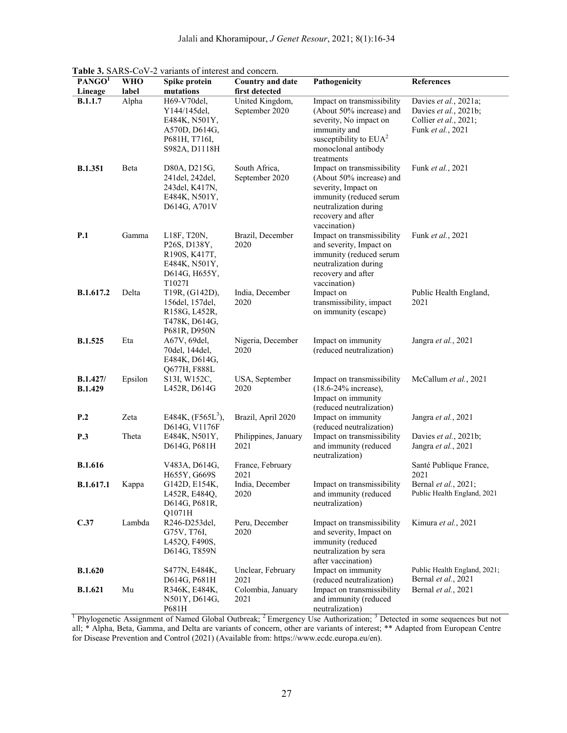| PANGO <sup>T</sup><br>Lineage     | <b>WHO</b><br>label | Spike protein<br>mutations                                                                                         | <b>Country and date</b><br>first detected | Pathogenicity                                                                                                                                                           | <b>References</b>                                                                            |
|-----------------------------------|---------------------|--------------------------------------------------------------------------------------------------------------------|-------------------------------------------|-------------------------------------------------------------------------------------------------------------------------------------------------------------------------|----------------------------------------------------------------------------------------------|
| <b>B.1.1.7</b>                    | Alpha               | H69-V70del,<br>Y144/145del,<br>E484K, N501Y,<br>A570D, D614G,<br>P681H, T716I,<br>S982A, D1118H                    | United Kingdom,<br>September 2020         | Impact on transmissibility<br>(About 50% increase) and<br>severity, No impact on<br>immunity and<br>susceptibility to $EUA2$<br>monoclonal antibody<br>treatments       | Davies et al., 2021a;<br>Davies et al., 2021b;<br>Collier et al., 2021;<br>Funk et al., 2021 |
| <b>B.1.351</b>                    | Beta                | D80A, D215G,<br>241 del, 242 del,<br>243 del, K417N,<br>E484K, N501Y,<br>D614G, A701V                              | South Africa,<br>September 2020           | Impact on transmissibility<br>(About 50% increase) and<br>severity, Impact on<br>immunity (reduced serum<br>neutralization during<br>recovery and after<br>vaccination) | Funk et al., 2021                                                                            |
| P.1                               | Gamma               | L18F, T20N,<br>P <sub>26</sub> S, D <sub>138</sub> Y,<br>R190S, K417T,<br>E484K, N501Y,<br>D614G, H655Y,<br>T1027I | Brazil, December<br>2020                  | Impact on transmissibility<br>and severity, Impact on<br>immunity (reduced serum<br>neutralization during<br>recovery and after<br>vaccination)                         | Funk et al., 2021                                                                            |
| B.1.617.2                         | Delta               | T19R, (G142D),<br>156del, 157del,<br>R158G, L452R,<br>T478K, D614G,<br>P681R, D950N                                | India, December<br>2020                   | Impact on<br>transmissibility, impact<br>on immunity (escape)                                                                                                           | Public Health England,<br>2021                                                               |
| <b>B.1.525</b>                    | Eta                 | A67V, 69del,<br>70del, 144del,<br>E484K, D614G,<br>Q677H, F888L                                                    | Nigeria, December<br>2020                 | Impact on immunity<br>(reduced neutralization)                                                                                                                          | Jangra et al., 2021                                                                          |
| <b>B.1.427/</b><br><b>B.1.429</b> | Epsilon             | S13I, W152C,<br>L452R, D614G                                                                                       | USA, September<br>2020                    | Impact on transmissibility<br>(18.6-24% increase),<br>Impact on immunity<br>(reduced neutralization)                                                                    | McCallum et al., 2021                                                                        |
| P.2                               | Zeta                | E484K, $(F565L^3)$ ,<br>D614G, V1176F                                                                              | Brazil, April 2020                        | Impact on immunity<br>(reduced neutralization)                                                                                                                          | Jangra et al., 2021                                                                          |
| <b>P.3</b>                        | Theta               | E484K, N501Y,<br>D614G, P681H                                                                                      | Philippines, January<br>2021              | Impact on transmissibility<br>and immunity (reduced<br>neutralization)                                                                                                  | Davies et al., 2021b;<br>Jangra et al., 2021                                                 |
| <b>B.1.616</b>                    |                     | V483A, D614G,<br>H655Y, G669S                                                                                      | France, February<br>2021                  |                                                                                                                                                                         | Santé Publique France,<br>2021                                                               |
| <b>B.1.617.1</b>                  | Kappa               | G142D, E154K,<br>L452R, E484Q,<br>D614G, P681R,<br>Q1071H                                                          | India, December<br>2020                   | Impact on transmissibility<br>and immunity (reduced<br>neutralization)                                                                                                  | Bernal et al., 2021;<br>Public Health England, 2021                                          |
| C.37                              | Lambda              | R246-D253del,<br>G75V, T76I,<br>L452Q, F490S,<br>D614G, T859N                                                      | Peru, December<br>2020                    | Impact on transmissibility<br>and severity, Impact on<br>immunity (reduced<br>neutralization by sera<br>after vaccination)                                              | Kimura et al., 2021                                                                          |
| <b>B.1.620</b>                    |                     | S477N, E484K,<br>D614G, P681H                                                                                      | Unclear, February<br>2021                 | Impact on immunity<br>(reduced neutralization)                                                                                                                          | Public Health England, 2021;<br>Bernal et al., 2021                                          |
| <b>B.1.621</b>                    | Mu                  | R346K, E484K,<br>N501Y, D614G,<br>P681H                                                                            | Colombia, January<br>2021                 | Impact on transmissibility<br>and immunity (reduced<br>neutralization)                                                                                                  | Bernal et al., 2021                                                                          |

Jalali and Khoramipour, *J Genet Resour*, 2021; 8(1):16-34

**Table 3.** SARS-CoV-2 variants of interest and concern.

<sup>1</sup> Phylogenetic Assignment of Named Global Outbreak; <sup>2</sup> Emergency Use Authorization; <sup>3</sup> Detected in some sequences but not all; \* Alpha, Beta, Gamma, and Delta are variants of concern, other are variants of interest; \*\* Adapted from European Centre for Disease Prevention and Control (2021) (Available from: https://www.ecdc.europa.eu/en).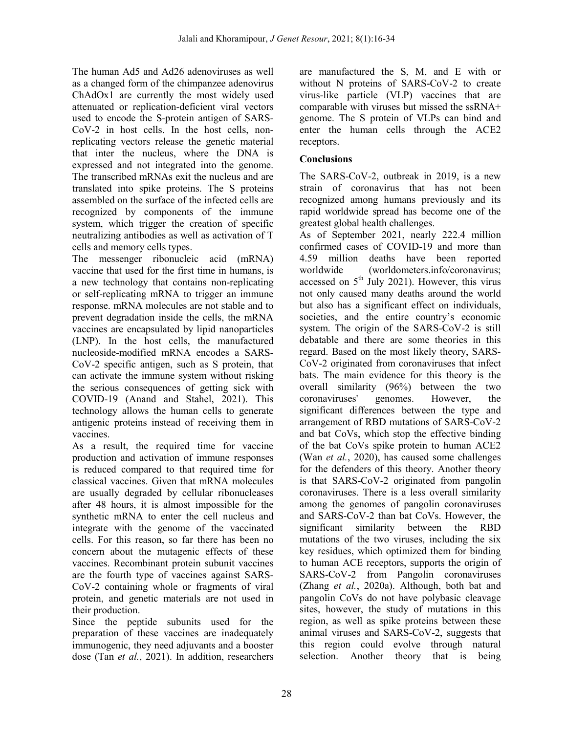The human Ad5 and Ad26 adenoviruses as well as a changed form of the chimpanzee adenovirus ChAdOx1 are currently the most widely used attenuated or replication-deficient viral vectors used to encode the S-protein antigen of SARS-CoV-2 in host cells. In the host cells, nonreplicating vectors release the genetic material that inter the nucleus, where the DNA is expressed and not integrated into the genome. The transcribed mRNAs exit the nucleus and are translated into spike proteins. The S proteins assembled on the surface of the infected cells are recognized by components of the immune system, which trigger the creation of specific neutralizing antibodies as well as activation of T cells and memory cells types.

The messenger ribonucleic acid (mRNA) vaccine that used for the first time in humans, is a new technology that contains non-replicating or self-replicating mRNA to trigger an immune response. mRNA molecules are not stable and to prevent degradation inside the cells, the mRNA vaccines are encapsulated by lipid nanoparticles (LNP). In the host cells, the manufactured nucleoside-modified mRNA encodes a SARS-CoV-2 specific antigen, such as S protein, that can activate the immune system without risking the serious consequences of getting sick with COVID-19 (Anand and Stahel, 2021). This technology allows the human cells to generate antigenic proteins instead of receiving them in vaccines.

As a result, the required time for vaccine production and activation of immune responses is reduced compared to that required time for classical vaccines. Given that mRNA molecules are usually degraded by cellular ribonucleases after 48 hours, it is almost impossible for the synthetic mRNA to enter the cell nucleus and integrate with the genome of the vaccinated cells. For this reason, so far there has been no concern about the mutagenic effects of these vaccines. Recombinant protein subunit vaccines are the fourth type of vaccines against SARS-CoV-2 containing whole or fragments of viral protein, and genetic materials are not used in their production.

Since the peptide subunits used for the preparation of these vaccines are inadequately immunogenic, they need adjuvants and a booster dose (Tan *et al.*, 2021). In addition, researchers

are manufactured the S, M, and E with or without N proteins of SARS-CoV-2 to create virus-like particle (VLP) vaccines that are comparable with viruses but missed the ssRNA+ genome. The S protein of VLPs can bind and enter the human cells through the ACE2 receptors.

## **Conclusions**

The SARS-CoV-2, outbreak in 2019, is a new strain of coronavirus that has not been recognized among humans previously and its rapid worldwide spread has become one of the greatest global health challenges.

As of September 2021, nearly 222.4 million confirmed cases of COVID-19 and more than 4.59 million deaths have been reported worldwide (worldometers.info/coronavirus; accessed on  $5<sup>th</sup>$  July 2021). However, this virus not only caused many deaths around the world but also has a significant effect on individuals, societies, and the entire country's economic system. The origin of the SARS-CoV-2 is still debatable and there are some theories in this regard. Based on the most likely theory, SARS-CoV-2 originated from coronaviruses that infect bats. The main evidence for this theory is the overall similarity (96%) between the two coronaviruses' genomes. However, the significant differences between the type and arrangement of RBD mutations of SARS-CoV-2 and bat CoVs, which stop the effective binding of the bat CoVs spike protein to human ACE2 (Wan *et al.*, 2020), has caused some challenges for the defenders of this theory. Another theory is that SARS-CoV-2 originated from pangolin coronaviruses. There is a less overall similarity among the genomes of pangolin coronaviruses and SARS-CoV-2 than bat CoVs. However, the significant similarity between the RBD mutations of the two viruses, including the six key residues, which optimized them for binding to human ACE receptors, supports the origin of SARS-CoV-2 from Pangolin coronaviruses (Zhang *et al.*, 2020a). Although, both bat and pangolin CoVs do not have polybasic cleavage sites, however, the study of mutations in this region, as well as spike proteins between these animal viruses and SARS-CoV-2, suggests that this region could evolve through natural selection. Another theory that is being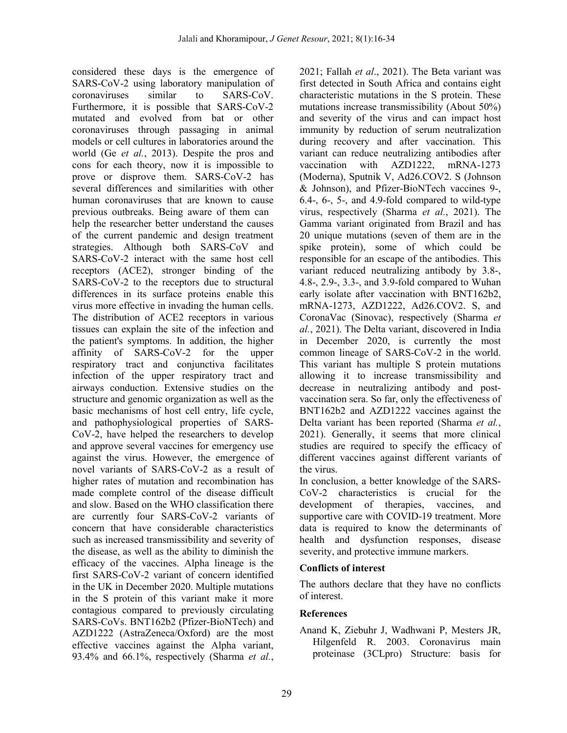considered these days is the emergence of SARS-CoV-2 using laboratory manipulation of coronaviruses similar to SARS-CoV. Furthermore, it is possible that SARS-CoV-2 mutated and evolved from bat or other coronaviruses through passaging in animal models or cell cultures in laboratories around the world (Ge *et al.*, 2013). Despite the pros and cons for each theory, now it is impossible to prove or disprove them. SARS-CoV-2 has several differences and similarities with other human coronaviruses that are known to cause previous outbreaks. Being aware of them can help the researcher better understand the causes of the current pandemic and design treatment strategies. Although both SARS-CoV and SARS-CoV-2 interact with the same host cell receptors (ACE2), stronger binding of the SARS-CoV-2 to the receptors due to structural differences in its surface proteins enable this virus more effective in invading the human cells. The distribution of ACE2 receptors in various tissues can explain the site of the infection and the patient's symptoms. In addition, the higher affinity of SARS-CoV-2 for the upper respiratory tract and conjunctiva facilitates infection of the upper respiratory tract and airways conduction. Extensive studies on the structure and genomic organization as well as the basic mechanisms of host cell entry, life cycle, and pathophysiological properties of SARS-CoV-2, have helped the researchers to develop and approve several vaccines for emergency use against the virus. However, the emergence of novel variants of SARS-CoV-2 as a result of higher rates of mutation and recombination has made complete control of the disease difficult and slow. Based on the WHO classification there are currently four SARS-CoV-2 variants of concern that have considerable characteristics such as increased transmissibility and severity of the disease, as well as the ability to diminish the efficacy of the vaccines. Alpha lineage is the first SARS-CoV-2 variant of concern identified in the UK in December 2020. Multiple mutations in the S protein of this variant make it more contagious compared to previously circulating SARS-CoVs. BNT162b2 (Pfizer-BioNTech) and AZD1222 (AstraZeneca/Oxford) are the most effective vaccines against the Alpha variant, 93.4% and 66.1%, respectively (Sharma *et al.*,

2021; Fallah *et al*., 2021). The Beta variant was first detected in South Africa and contains eight characteristic mutations in the S protein. These mutations increase transmissibility (About 50%) and severity of the virus and can impact host immunity by reduction of serum neutralization during recovery and after vaccination. This variant can reduce neutralizing antibodies after vaccination with AZD1222, mRNA-1273 (Moderna), Sputnik V, Ad26.COV2. S (Johnson & Johnson), and Pfizer-BioNTech vaccines 9-, 6.4-, 6-, 5-, and 4.9-fold compared to wild-type virus, respectively (Sharma *et al.*, 2021). The Gamma variant originated from Brazil and has 20 unique mutations (seven of them are in the spike protein), some of which could be responsible for an escape of the antibodies. This variant reduced neutralizing antibody by 3.8-, 4.8-, 2.9-, 3.3-, and 3.9-fold compared to Wuhan early isolate after vaccination with BNT162b2, mRNA-1273, AZD1222, Ad26.COV2. S, and CoronaVac (Sinovac), respectively (Sharma *et al.*, 2021). The Delta variant, discovered in India in December 2020, is currently the most common lineage of SARS-CoV-2 in the world. This variant has multiple S protein mutations allowing it to increase transmissibility and decrease in neutralizing antibody and postvaccination sera. So far, only the effectiveness of BNT162b2 and AZD1222 vaccines against the Delta variant has been reported (Sharma *et al.*, 2021). Generally, it seems that more clinical studies are required to specify the efficacy of different vaccines against different variants of the virus.

In conclusion, a better knowledge of the SARS-CoV-2 characteristics is crucial for the development of therapies, vaccines, and supportive care with COVID-19 treatment. More data is required to know the determinants of health and dysfunction responses, disease severity, and protective immune markers.

### **Conflicts of interest**

The authors declare that they have no conflicts of interest.

### **References**

Anand K, Ziebuhr J, Wadhwani P, Mesters JR, Hilgenfeld R. 2003. Coronavirus main proteinase (3CLpro) Structure: basis for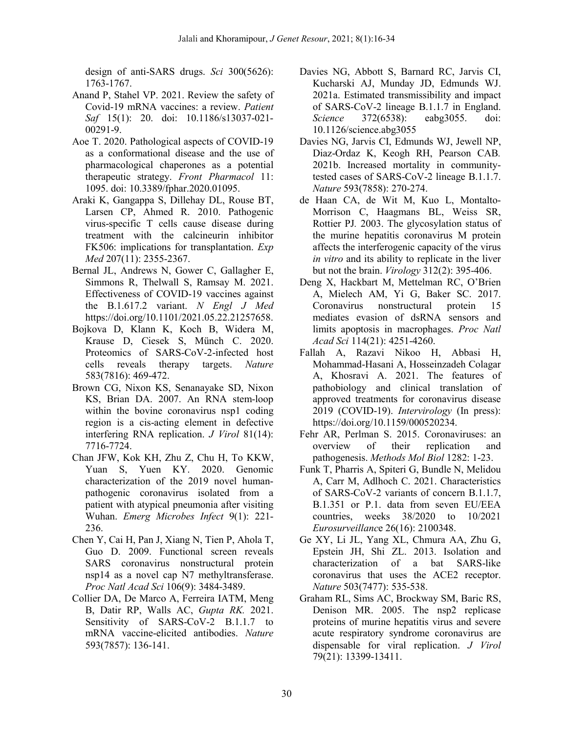design of anti-SARS drugs. *Sci* 300(5626): 1763-1767.

- Anand P, Stahel VP. 2021. Review the safety of Covid-19 mRNA vaccines: a review. *Patient Saf* 15(1): 20. doi: 10.1186/s13037-021- 00291-9.
- Aoe T. 2020. Pathological aspects of COVID-19 as a conformational disease and the use of pharmacological chaperones as a potential therapeutic strategy. *Front Pharmacol* 11: 1095. doi: 10.3389/fphar.2020.01095.
- Araki K, Gangappa S, Dillehay DL, Rouse BT, Larsen CP, Ahmed R. 2010. Pathogenic virus-specific T cells cause disease during treatment with the calcineurin inhibitor FK506: implications for transplantation. *Exp Med* 207(11): 2355-2367.
- Bernal JL, Andrews N, Gower C, Gallagher E, Simmons R, Thelwall S, Ramsay M. 2021. Effectiveness of COVID-19 vaccines against the B.1.617.2 variant. *N Engl J Med* https://doi.org/10.1101/2021.05.22.21257658.
- Bojkova D, Klann K, Koch B, Widera M, Krause D, Ciesek S, Münch C. 2020. Proteomics of SARS-CoV-2-infected host cells reveals therapy targets. *Nature* 583(7816): 469-472.
- Brown CG, Nixon KS, Senanayake SD, Nixon KS, Brian DA. 2007. An RNA stem-loop within the bovine coronavirus nsp1 coding region is a cis-acting element in defective interfering RNA replication. *J Virol* 81(14): 7716-7724.
- Chan JFW, Kok KH, Zhu Z, Chu H, To KKW, Yuan S, Yuen KY. 2020. Genomic characterization of the 2019 novel humanpathogenic coronavirus isolated from a patient with atypical pneumonia after visiting Wuhan. *Emerg Microbes Infect* 9(1): 221- 236.
- Chen Y, Cai H, Pan J, Xiang N, Tien P, Ahola T, Guo D. 2009. Functional screen reveals SARS coronavirus nonstructural protein nsp14 as a novel cap N7 methyltransferase. *Proc Natl Acad Sci* 106(9): 3484-3489.
- Collier DA, De Marco A, Ferreira IATM, Meng B, Datir RP, Walls AC, *Gupta RK.* 2021. Sensitivity of SARS-CoV-2 B.1.1.7 to mRNA vaccine-elicited antibodies. *Nature* 593(7857): 136-141.
- Davies NG, Abbott S, Barnard RC, Jarvis CI, Kucharski AJ, Munday JD, Edmunds WJ. 2021a. Estimated transmissibility and impact of SARS-CoV-2 lineage B.1.1.7 in England. *Science* 372(6538): eabg3055. doi: 10.1126/science.abg3055
- Davies NG, Jarvis CI, Edmunds WJ, Jewell NP, Diaz-Ordaz K, Keogh RH, Pearson CAB*.* 2021b. Increased mortality in communitytested cases of SARS-CoV-2 lineage B.1.1.7. *Nature* 593(7858): 270-274.
- de Haan CA, de Wit M, Kuo L, Montalto-Morrison C, Haagmans BL, Weiss SR, Rottier PJ*.* 2003. The glycosylation status of the murine hepatitis coronavirus M protein affects the interferogenic capacity of the virus *in vitro* and its ability to replicate in the liver but not the brain. *Virology* 312(2): 395-406.
- Deng X, Hackbart M, Mettelman RC, O'Brien A, Mielech AM, Yi G, Baker SC. 2017. Coronavirus nonstructural protein 15 mediates evasion of dsRNA sensors and limits apoptosis in macrophages. *Proc Natl Acad Sci* 114(21): 4251-4260.
- Fallah A, Razavi Nikoo H, Abbasi H, Mohammad-Hasani A, Hosseinzadeh Colagar A, Khosravi A. 2021. The features of pathobiology and clinical translation of approved treatments for coronavirus disease 2019 (COVID-19). *Intervirology* (In press): https://doi.org/10.1159/000520234.
- Fehr AR, Perlman S. 2015. Coronaviruses: an overview of their replication and pathogenesis. *Methods Mol Biol* 1282: 1-23.
- Funk T, Pharris A, Spiteri G, Bundle N, Melidou A, Carr M, Adlhoch C. 2021. Characteristics of SARS-CoV-2 variants of concern B.1.1.7, B.1.351 or P.1. data from seven EU/EEA countries, weeks 38/2020 to 10/2021 *Eurosurveillanc*e 26(16): 2100348.
- Ge XY, Li JL, Yang XL, Chmura AA, Zhu G, Epstein JH, Shi ZL. 2013. Isolation and characterization of a bat SARS-like coronavirus that uses the ACE2 receptor. *Nature* 503(7477): 535-538.
- Graham RL, Sims AC, Brockway SM, Baric RS, Denison MR. 2005. The nsp2 replicase proteins of murine hepatitis virus and severe acute respiratory syndrome coronavirus are dispensable for viral replication. *J Virol* 79(21): 13399-13411.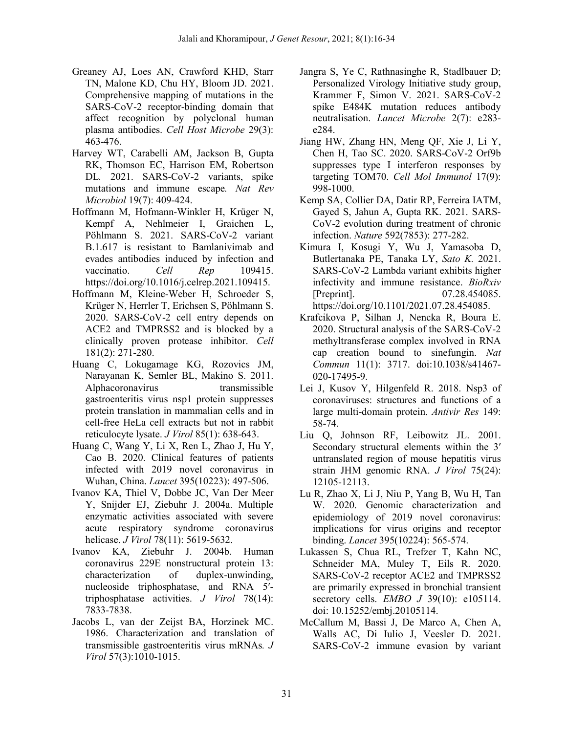- Greaney AJ, Loes AN, Crawford KHD, Starr TN, Malone KD, Chu HY, Bloom JD. 2021. Comprehensive mapping of mutations in the SARS-CoV-2 receptor-binding domain that affect recognition by polyclonal human plasma antibodies. *Cell Host Microbe* 29(3): 463-476.
- Harvey WT, Carabelli AM, Jackson B, Gupta RK, Thomson EC, Harrison EM, Robertson DL. 2021. SARS-CoV-2 variants, spike mutations and immune escape*. Nat Rev Microbiol* 19(7): 409-424.
- Hoffmann M, Hofmann-Winkler H, Krüger N, Kempf A, Nehlmeier I, Graichen L, Pöhlmann S. 2021. SARS-CoV-2 variant B.1.617 is resistant to Bamlanivimab and evades antibodies induced by infection and vaccinatio. *Cell Rep* 109415. https://doi.org/10.1016/j.celrep.2021.109415.
- Hoffmann M, Kleine-Weber H, Schroeder S, Krüger N, Herrler T, Erichsen S, Pöhlmann S. 2020. SARS-CoV-2 cell entry depends on ACE2 and TMPRSS2 and is blocked by a clinically proven protease inhibitor. *Cell* 181(2): 271-280.
- Huang C, Lokugamage KG, Rozovics JM, Narayanan K, Semler BL, Makino S. 2011. Alphacoronavirus transmissible gastroenteritis virus nsp1 protein suppresses protein translation in mammalian cells and in cell-free HeLa cell extracts but not in rabbit reticulocyte lysate. *J Virol* 85(1): 638-643.
- Huang C, Wang Y, Li X, Ren L, Zhao J, Hu Y, Cao B. 2020. Clinical features of patients infected with 2019 novel coronavirus in Wuhan, China. *Lancet* 395(10223): 497-506.
- Ivanov KA, Thiel V, Dobbe JC, Van Der Meer Y, Snijder EJ, Ziebuhr J. 2004a. Multiple enzymatic activities associated with severe acute respiratory syndrome coronavirus helicase. *J Virol* 78(11): 5619-5632.
- Ivanov KA, Ziebuhr J. 2004b. Human coronavirus 229E nonstructural protein 13: characterization of duplex-unwinding, nucleoside triphosphatase, and RNA 5′ triphosphatase activities. *J Virol* 78(14): 7833-7838.
- Jacobs L, van der Zeijst BA, Horzinek MC. 1986. Characterization and translation of transmissible gastroenteritis virus mRNAs*. J Virol* 57(3):1010-1015.
- Jangra S, Ye C, Rathnasinghe R, Stadlbauer D; Personalized Virology Initiative study group, Krammer F, Simon V. 2021. SARS-CoV-2 spike E484K mutation reduces antibody neutralisation. *Lancet Microbe* 2(7): e283 e284.
- Jiang HW, Zhang HN, Meng QF, Xie J, Li Y, Chen H, Tao SC. 2020. SARS-CoV-2 Orf9b suppresses type I interferon responses by targeting TOM70. *Cell Mol Immunol* 17(9): 998-1000.
- Kemp SA, Collier DA, Datir RP, Ferreira IATM, Gayed S, Jahun A, Gupta RK. 2021. SARS-CoV-2 evolution during treatment of chronic infection. *Nature* 592(7853): 277-282.
- Kimura I, Kosugi Y, Wu J, Yamasoba D, Butlertanaka PE, Tanaka LY, *Sato K.* 2021. SARS-CoV-2 Lambda variant exhibits higher infectivity and immune resistance. *BioRxiv* [Preprint]. 07.28.454085. https://doi.org/10.1101/2021.07.28.454085.
- Krafcikova P, Silhan J, Nencka R, Boura E. 2020. Structural analysis of the SARS-CoV-2 methyltransferase complex involved in RNA cap creation bound to sinefungin. *Nat Commun* 11(1): 3717. doi:10.1038/s41467- 020-17495-9.
- Lei J, Kusov Y, Hilgenfeld R. 2018. Nsp3 of coronaviruses: structures and functions of a large multi-domain protein. *Antivir Res* 149: 58-74.
- Liu Q, Johnson RF, Leibowitz JL. 2001. Secondary structural elements within the 3' untranslated region of mouse hepatitis virus strain JHM genomic RNA. *J Virol* 75(24): 12105-12113.
- Lu R, Zhao X, Li J, Niu P, Yang B, Wu H, Tan W. 2020. Genomic characterization and epidemiology of 2019 novel coronavirus: implications for virus origins and receptor binding. *Lancet* 395(10224): 565-574.
- Lukassen S, Chua RL, Trefzer T, Kahn NC, Schneider MA, Muley T, Eils R. 2020. SARS-CoV-2 receptor ACE2 and TMPRSS2 are primarily expressed in bronchial transient secretory cells. *EMBO J* 39(10): e105114. doi: 10.15252/embj.20105114.
- McCallum M, Bassi J, De Marco A, Chen A, Walls AC, Di Iulio J, Veesler D. 2021. SARS-CoV-2 immune evasion by variant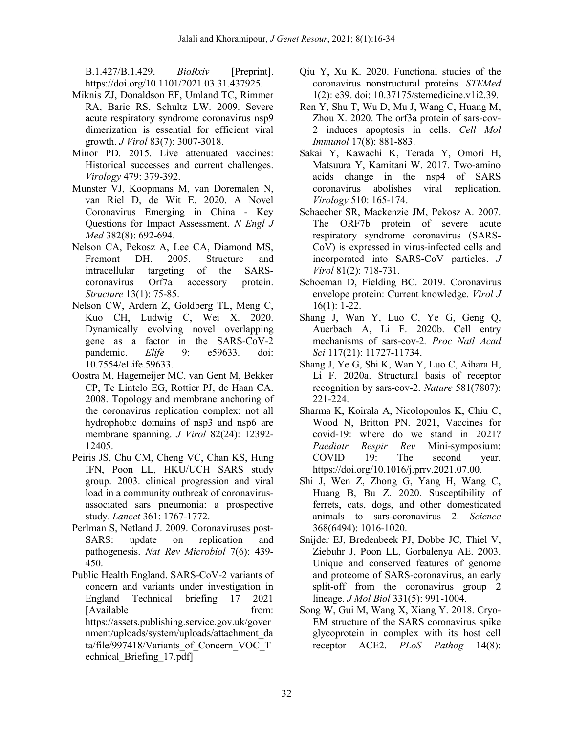B.1.427/B.1.429. *BioRxiv* [Preprint]. https://doi.org/10.1101/2021.03.31.437925.

- Miknis ZJ, Donaldson EF, Umland TC, Rimmer RA, Baric RS, Schultz LW. 2009. Severe acute respiratory syndrome coronavirus nsp9 dimerization is essential for efficient viral growth. *J Virol* 83(7): 3007-3018.
- Minor PD. 2015. Live attenuated vaccines: Historical successes and current challenges. *Virology* 479: 379-392.
- Munster VJ, Koopmans M, van Doremalen N, van Riel D, de Wit E. 2020. A Novel Coronavirus Emerging in China - Key Questions for Impact Assessment. *N Engl J Med* 382(8): 692-694.
- Nelson CA, Pekosz A, Lee CA, Diamond MS, Fremont DH. 2005. Structure and intracellular targeting of the SARScoronavirus Orf7a accessory protein. *Structure* 13(1): 75-85.
- Nelson CW, Ardern Z, Goldberg TL, Meng C, Kuo CH, Ludwig C, Wei X. 2020. Dynamically evolving novel overlapping gene as a factor in the SARS-CoV-2 pandemic. *Elife* 9: e59633. doi: 10.7554/eLife.59633.
- Oostra M, Hagemeijer MC, van Gent M, Bekker CP, Te Lintelo EG, Rottier PJ, de Haan CA. 2008. Topology and membrane anchoring of the coronavirus replication complex: not all hydrophobic domains of nsp3 and nsp6 are membrane spanning. *J Virol* 82(24): 12392- 12405.
- Peiris JS, Chu CM, Cheng VC, Chan KS, Hung IFN, Poon LL, HKU/UCH SARS study group. 2003. clinical progression and viral load in a community outbreak of coronavirusassociated sars pneumonia: a prospective study. *Lancet* 361: 1767-1772.
- Perlman S, Netland J. 2009. Coronaviruses post-SARS: update on replication and pathogenesis. *Nat Rev Microbiol* 7(6): 439- 450.
- Public Health England. SARS-CoV-2 variants of concern and variants under investigation in England Technical briefing 17 2021 [Available from: https://assets.publishing.service.gov.uk/gover nment/uploads/system/uploads/attachment\_da ta/file/997418/Variants\_of\_Concern\_VOC\_T echnical\_Briefing\_17.pdf]
- Qiu Y, Xu K. 2020. Functional studies of the coronavirus nonstructural proteins. *STEMed* 1(2): e39. doi: 10.37175/stemedicine.v1i2.39.
- Ren Y, Shu T, Wu D, Mu J, Wang C, Huang M, Zhou X. 2020. The orf3a protein of sars-cov-2 induces apoptosis in cells. *Cell Mol Immunol* 17(8): 881-883.
- Sakai Y, Kawachi K, Terada Y, Omori H, Matsuura Y, Kamitani W. 2017. Two-amino acids change in the nsp4 of SARS coronavirus abolishes viral replication. *Virology* 510: 165-174.
- Schaecher SR, Mackenzie JM, Pekosz A. 2007. The ORF7b protein of severe acute respiratory syndrome coronavirus (SARS-CoV) is expressed in virus-infected cells and incorporated into SARS-CoV particles. *J Virol* 81(2): 718-731.
- Schoeman D, Fielding BC. 2019. Coronavirus envelope protein: Current knowledge. *Virol J* 16(1): 1-22.
- Shang J, Wan Y, Luo C, Ye G, Geng Q, Auerbach A, Li F. 2020b. Cell entry mechanisms of sars-cov-2*. Proc Natl Acad Sci* 117(21): 11727-11734.
- Shang J, Ye G, Shi K, Wan Y, Luo C, Aihara H, Li F. 2020a. Structural basis of receptor recognition by sars-cov-2. *Nature* 581(7807): 221-224.
- Sharma K, Koirala A, Nicolopoulos K, Chiu C, Wood N, Britton PN. 2021, Vaccines for covid-19: where do we stand in 2021? *Paediatr Respir Rev* Mini-symposium: COVID 19: The second year. https://doi.org/10.1016/j.prrv.2021.07.00.
- Shi J, Wen Z, Zhong G, Yang H, Wang C, Huang B, Bu Z. 2020. Susceptibility of ferrets, cats, dogs, and other domesticated animals to sars-coronavirus 2. *Science* 368(6494): 1016-1020.
- Snijder EJ, Bredenbeek PJ, Dobbe JC, Thiel V, Ziebuhr J, Poon LL, Gorbalenya AE. 2003. Unique and conserved features of genome and proteome of SARS-coronavirus, an early split-off from the coronavirus group 2 lineage. *J Mol Biol* 331(5): 991-1004.
- Song W, Gui M, Wang X, Xiang Y. 2018. Cryo-EM structure of the SARS coronavirus spike glycoprotein in complex with its host cell receptor ACE2. *PLoS Pathog* 14(8):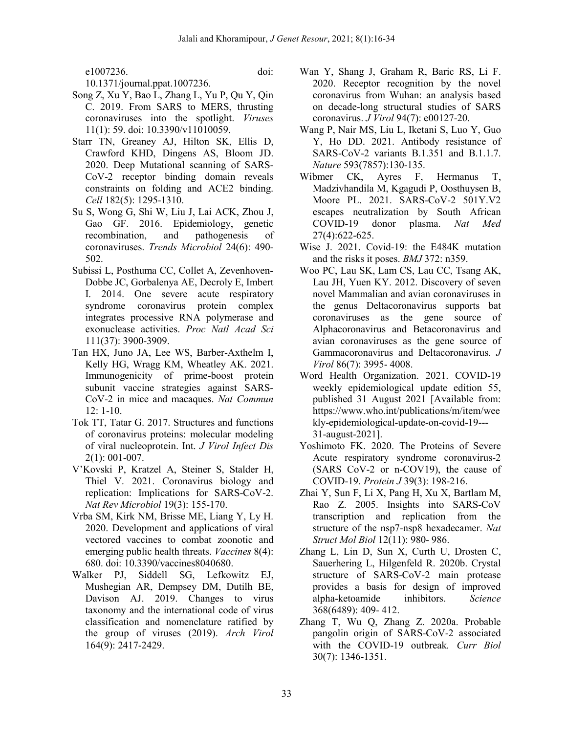e1007236. doi:

10.1371/journal.ppat.1007236.

- Song Z, Xu Y, Bao L, Zhang L, Yu P, Qu Y, Qin C. 2019. From SARS to MERS, thrusting coronaviruses into the spotlight. *Viruses* 11(1): 59. doi: 10.3390/v11010059.
- Starr TN, Greaney AJ, Hilton SK, Ellis D, Crawford KHD, Dingens AS, Bloom JD. 2020. Deep Mutational scanning of SARS-CoV-2 receptor binding domain reveals constraints on folding and ACE2 binding. *Cell* 182(5): 1295-1310.
- Su S, Wong G, Shi W, Liu J, Lai ACK, Zhou J, Gao GF. 2016. Epidemiology, genetic recombination, and pathogenesis of coronaviruses. *Trends Microbiol* 24(6): 490- 502.
- Subissi L, Posthuma CC, Collet A, Zevenhoven-Dobbe JC, Gorbalenya AE, Decroly E, Imbert I. 2014. One severe acute respiratory syndrome coronavirus protein complex integrates processive RNA polymerase and exonuclease activities. *Proc Natl Acad Sci* 111(37): 3900-3909.
- Tan HX, Juno JA, Lee WS, Barber-Axthelm I, Kelly HG, Wragg KM, Wheatley AK. 2021. Immunogenicity of prime-boost protein subunit vaccine strategies against SARS-CoV-2 in mice and macaques. *Nat Commun*  $12 \cdot 1 - 10$
- Tok TT, Tatar G. 2017. Structures and functions of coronavirus proteins: molecular modeling of viral nucleoprotein. Int. *J Virol Infect Dis* 2(1): 001-007.
- V'Kovski P, Kratzel A, Steiner S, Stalder H, Thiel V. 2021. Coronavirus biology and replication: Implications for SARS-CoV-2. *Nat Rev Microbiol* 19(3): 155-170.
- Vrba SM, Kirk NM, Brisse ME, Liang Y, Ly H. 2020. Development and applications of viral vectored vaccines to combat zoonotic and emerging public health threats. *Vaccines* 8(4): 680. doi: 10.3390/vaccines8040680.
- Walker PJ, Siddell SG, Lefkowitz EJ, Mushegian AR, Dempsey DM, Dutilh BE, Davison AJ. 2019. Changes to virus taxonomy and the international code of virus classification and nomenclature ratified by the group of viruses (2019). *Arch Virol* 164(9): 2417-2429.
- Wan Y, Shang J, Graham R, Baric RS, Li F. 2020. Receptor recognition by the novel coronavirus from Wuhan: an analysis based on decade-long structural studies of SARS coronavirus. *J Virol* 94(7): e00127-20.
- Wang P, Nair MS, Liu L, Iketani S, Luo Y, Guo Y, Ho DD. 2021. Antibody resistance of SARS-CoV-2 variants B.1.351 and B.1.1.7. *Nature* 593(7857):130-135.
- Wibmer CK, Ayres F, Hermanus T, Madzivhandila M, Kgagudi P, Oosthuysen B, Moore PL. 2021. SARS-CoV-2 501Y.V2 escapes neutralization by South African COVID-19 donor plasma. *Nat Med* 27(4):622-625.
- Wise J. 2021. Covid-19: the E484K mutation and the risks it poses. *BMJ* 372: n359.
- Woo PC, Lau SK, Lam CS, Lau CC, Tsang AK, Lau JH, Yuen KY. 2012. Discovery of seven novel Mammalian and avian coronaviruses in the genus Deltacoronavirus supports bat coronaviruses as the gene source of Alphacoronavirus and Betacoronavirus and avian coronaviruses as the gene source of Gammacoronavirus and Deltacoronavirus*. J Virol* 86(7): 3995- 4008.
- Word Health Organization. 2021. COVID-19 weekly epidemiological update edition 55, published 31 August 2021 [Available from: https://www.who.int/publications/m/item/wee kly-epidemiological-update-on-covid-19--- 31-august-2021].
- Yoshimoto FK. 2020. The Proteins of Severe Acute respiratory syndrome coronavirus-2 (SARS CoV-2 or n-COV19), the cause of COVID-19. *Protein J* 39(3): 198-216.
- Zhai Y, Sun F, Li X, Pang H, Xu X, Bartlam M, Rao Z. 2005. Insights into SARS-CoV transcription and replication from the structure of the nsp7-nsp8 hexadecamer. *Nat Struct Mol Biol* 12(11): 980- 986.
- Zhang L, Lin D, Sun X, Curth U, Drosten C, Sauerhering L, Hilgenfeld R. 2020b. Crystal structure of SARS-CoV-2 main protease provides a basis for design of improved alpha-ketoamide inhibitors. *Science* 368(6489): 409- 412.
- Zhang T, Wu Q, Zhang Z. 2020a. Probable pangolin origin of SARS-CoV-2 associated with the COVID-19 outbreak*. Curr Biol* 30(7): 1346-1351.